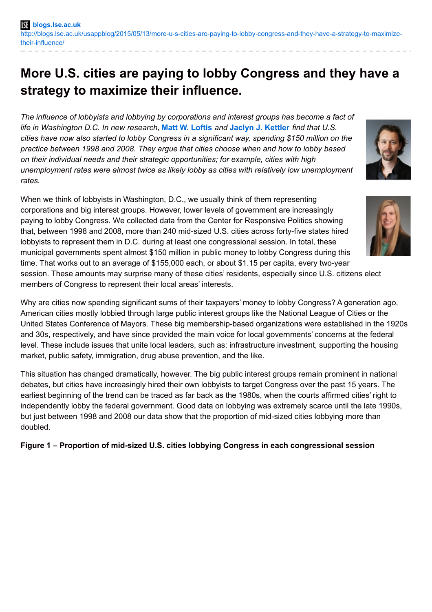# **More U.S. cities are paying to lobby Congress and they have a strategy to maximize their influence.**

*The influence of lobbyists and lobbying by corporations and interest groups has become a fact of life in Washington D.C. In new research,* **Matt W. [Loftis](http://wp.me/p3I2YF-3Ay#Author)** *and* **Jaclyn J. [Kettler](http://wp.me/p3I2YF-3Ay#Author)** *find that U.S. cities have now also started to lobby Congress in a significant way, spending \$150 million on the practice between 1998 and 2008. They argue that cities choose when and how to lobby based on their individual needs and their strategic opportunities; for example, cities with high unemployment rates were almost twice as likely lobby as cities with relatively low unemployment rates.*

When we think of lobbyists in Washington, D.C., we usually think of them representing corporations and big interest groups. However, lower levels of government are increasingly paying to lobby Congress. We collected data from the Center for Responsive Politics showing that, between 1998 and 2008, more than 240 mid-sized U.S. cities across forty-five states hired lobbyists to represent them in D.C. during at least one congressional session. In total, these municipal governments spent almost \$150 million in public money to lobby Congress during this time. That works out to an average of \$155,000 each, or about \$1.15 per capita, every two-year session. These amounts may surprise many of these cities' residents, especially since U.S. citizens elect members of Congress to represent their local areas' interests.

Why are cities now spending significant sums of their taxpayers' money to lobby Congress? A generation ago, American cities mostly lobbied through large public interest groups like the National League of Cities or the United States Conference of Mayors. These big membership-based organizations were established in the 1920s and 30s, respectively, and have since provided the main voice for local governments' concerns at the federal level. These include issues that unite local leaders, such as: infrastructure investment, supporting the housing market, public safety, immigration, drug abuse prevention, and the like.

This situation has changed dramatically, however. The big public interest groups remain prominent in national debates, but cities have increasingly hired their own lobbyists to target Congress over the past 15 years. The earliest beginning of the trend can be traced as far back as the 1980s, when the courts affirmed cities' right to independently lobby the federal government. Good data on lobbying was extremely scarce until the late 1990s, but just between 1998 and 2008 our data show that the proportion of mid-sized cities lobbying more than doubled.

**Figure 1 – Proportion of mid-sized U.S. cities lobbying Congress in each congressional session**



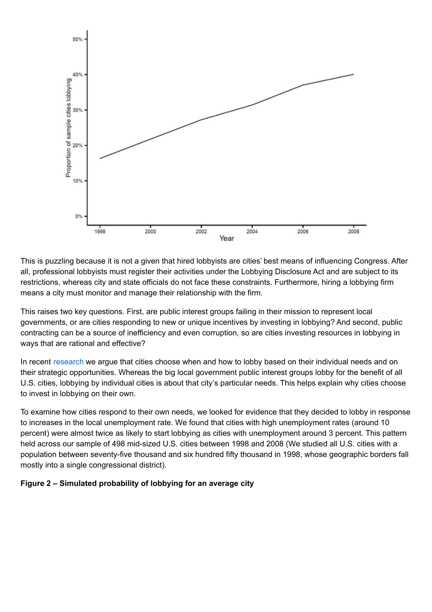

This is puzzling because it is not a given that hired lobbyists are cities' best means of influencing Congress. After all, professional lobbyists must register their activities under the Lobbying Disclosure Act and are subject to its restrictions, whereas city and state officials do not face these constraints. Furthermore, hiring a lobbying firm means a city must monitor and manage their relationship with the firm.

This raises two key questions. First, are public interest groups failing in their mission to represent local governments, or are cities responding to new or unique incentives by investing in lobbying? And second, public contracting can be a source of inefficiency and even corruption, so are cities investing resources in lobbying in ways that are rational and effective?

In recent [research](http://prq.sagepub.com/content/68/1/193) we argue that cities choose when and how to lobby based on their individual needs and on their strategic opportunities. Whereas the big local government public interest groups lobby for the benefit of all U.S. cities, lobbying by individual cities is about that city's particular needs. This helps explain why cities choose to invest in lobbying on their own.

To examine how cities respond to their own needs, we looked for evidence that they decided to lobby in response to increases in the local unemployment rate. We found that cities with high unemployment rates (around 10 percent) were almost twice as likely to start lobbying as cities with unemployment around 3 percent. This pattern held across our sample of 498 mid-sized U.S. cities between 1998 and 2008 (We studied all U.S. cities with a population between seventy-five thousand and six hundred fifty thousand in 1998, whose geographic borders fall mostly into a single congressional district).

# **Figure 2 – Simulated probability of lobbying for an average city**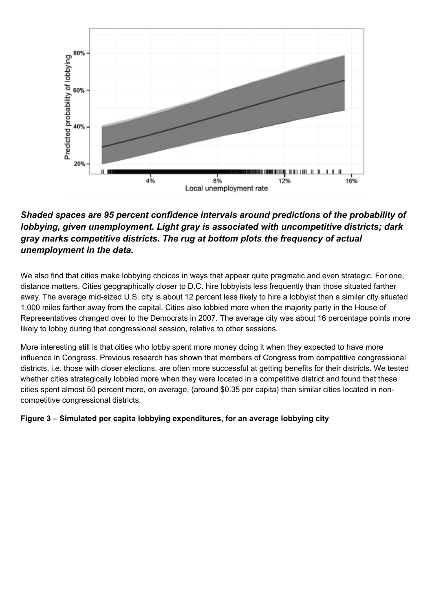

# *Shaded spaces are 95 percent confidence intervals around predictions of the probability of lobbying, given unemployment. Light gray is associated with uncompetitive districts; dark gray marks competitive districts. The rug at bottom plots the frequency of actual unemployment in the data.*

We also find that cities make lobbying choices in ways that appear quite pragmatic and even strategic. For one, distance matters. Cities geographically closer to D.C. hire lobbyists less frequently than those situated farther away. The average mid-sized U.S. city is about 12 percent less likely to hire a lobbyist than a similar city situated 1,000 miles farther away from the capital. Cities also lobbied more when the majority party in the House of Representatives changed over to the Democrats in 2007. The average city was about 16 percentage points more likely to lobby during that congressional session, relative to other sessions.

More interesting still is that cities who lobby spent more money doing it when they expected to have more influence in Congress. Previous research has shown that members of Congress from competitive congressional districts, i.e. those with closer elections, are often more successful at getting benefits for their districts. We tested whether cities strategically lobbied more when they were located in a competitive district and found that these cities spent almost 50 percent more, on average, (around \$0.35 per capita) than similar cities located in noncompetitive congressional districts.

# **Figure 3 – Simulated per capita lobbying expenditures, for an average lobbying city**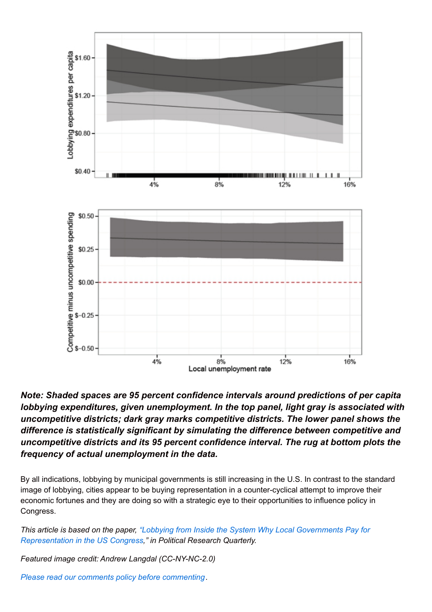

*Note: Shaded spaces are 95 percent confidence intervals around predictions of per capita lobbying expenditures, given unemployment. In the top panel, light gray is associated with uncompetitive districts; dark gray marks competitive districts. The lower panel shows the difference is statistically significant by simulating the difference between competitive and uncompetitive districts and its 95 percent confidence interval. The rug at bottom plots the frequency of actual unemployment in the data.*

By all indications, lobbying by municipal governments is still increasing in the U.S. In contrast to the standard image of lobbying, cities appear to be buying representation in a counter-cyclical attempt to improve their economic fortunes and they are doing so with a strategic eye to their opportunities to influence policy in Congress.

*This article is based on the paper, "Lobbying from Inside the System Why Local Governments Pay for [Representation](http://prq.sagepub.com/content/68/1/193) in the US Congress," in Political Research Quarterly.*

*Featured image credit: Andrew Langdal (CC-NY-NC-2.0)*

*Please read our comments policy before [commenting](http://blogs.lse.ac.uk/europpblog/about/comments-policy/).*